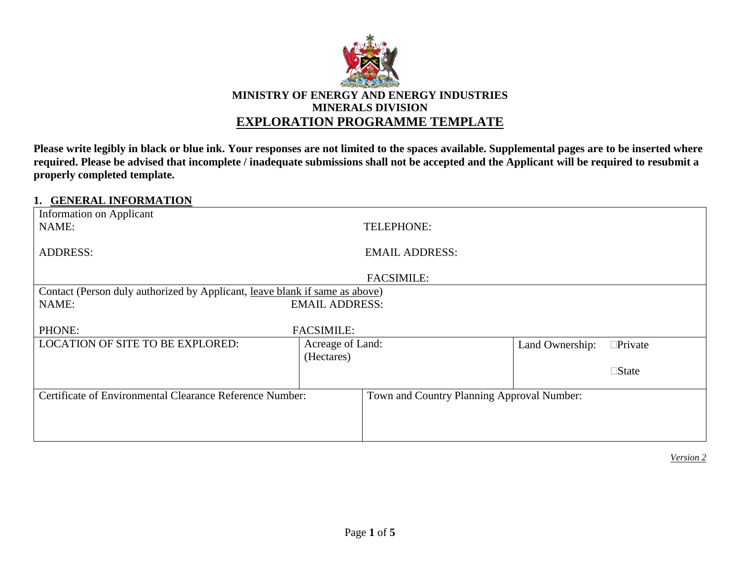

### **MINISTRY OF ENERGY AND ENERGY INDUSTRIES MINERALS DIVISION EXPLORATION PROGRAMME TEMPLATE**

**Please write legibly in black or blue ink. Your responses are not limited to the spaces available. Supplemental pages are to be inserted where required. Please be advised that incomplete / inadequate submissions shall not be accepted and the Applicant will be required to resubmit a properly completed template.**

### **1. GENERAL INFORMATION**

| Information on Applicant<br>NAME:                                           |                       | TELEPHONE:                                 |                 |                 |  |
|-----------------------------------------------------------------------------|-----------------------|--------------------------------------------|-----------------|-----------------|--|
| <b>ADDRESS:</b>                                                             | <b>EMAIL ADDRESS:</b> |                                            |                 |                 |  |
|                                                                             |                       | <b>FACSIMILE:</b>                          |                 |                 |  |
| Contact (Person duly authorized by Applicant, leave blank if same as above) |                       |                                            |                 |                 |  |
| NAME:                                                                       | <b>EMAIL ADDRESS:</b> |                                            |                 |                 |  |
|                                                                             |                       |                                            |                 |                 |  |
| PHONE:                                                                      | <b>FACSIMILE:</b>     |                                            |                 |                 |  |
| <b>LOCATION OF SITE TO BE EXPLORED:</b>                                     | Acreage of Land:      |                                            | Land Ownership: | $\Box$ Private  |  |
|                                                                             | (Hectares)            |                                            |                 |                 |  |
|                                                                             |                       |                                            |                 | $\square$ State |  |
|                                                                             |                       |                                            |                 |                 |  |
| Certificate of Environmental Clearance Reference Number:                    |                       | Town and Country Planning Approval Number: |                 |                 |  |
|                                                                             |                       |                                            |                 |                 |  |
|                                                                             |                       |                                            |                 |                 |  |
|                                                                             |                       |                                            |                 |                 |  |
|                                                                             |                       |                                            |                 |                 |  |

*Version 2*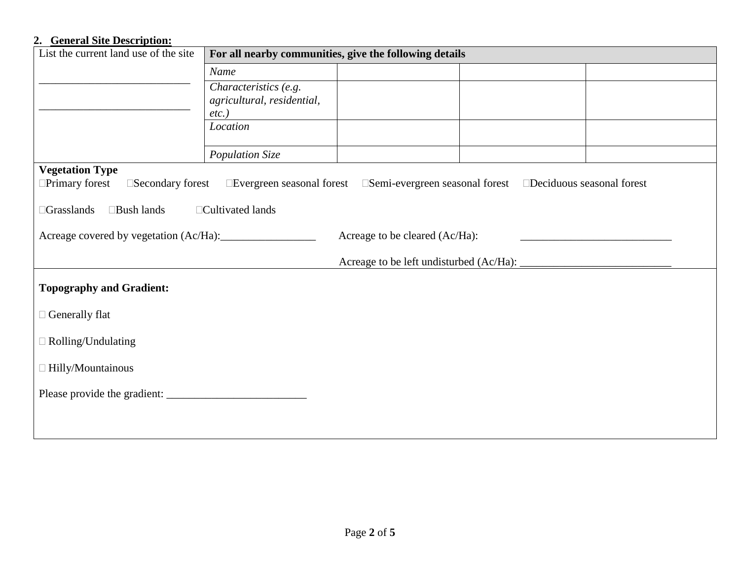### **2. General Site Description:**

| $\sim$ cher are $\sim$ to $\sim$ respectively.<br>List the current land use of the site                                                | For all nearby communities, give the following details |                                |  |  |  |  |  |
|----------------------------------------------------------------------------------------------------------------------------------------|--------------------------------------------------------|--------------------------------|--|--|--|--|--|
|                                                                                                                                        | Name                                                   |                                |  |  |  |  |  |
|                                                                                                                                        | Characteristics (e.g.                                  |                                |  |  |  |  |  |
|                                                                                                                                        | agricultural, residential,<br>$etc.$ )                 |                                |  |  |  |  |  |
|                                                                                                                                        | Location                                               |                                |  |  |  |  |  |
|                                                                                                                                        |                                                        |                                |  |  |  |  |  |
|                                                                                                                                        | Population Size                                        |                                |  |  |  |  |  |
| <b>Vegetation Type</b>                                                                                                                 |                                                        |                                |  |  |  |  |  |
| □Primary forest<br>$\square$ Secondary forest<br>□Evergreen seasonal forest □Semi-evergreen seasonal forest □Deciduous seasonal forest |                                                        |                                |  |  |  |  |  |
| $\Box$ Grasslands<br>□Bush lands<br>□Cultivated lands                                                                                  |                                                        |                                |  |  |  |  |  |
|                                                                                                                                        |                                                        | Acreage to be cleared (Ac/Ha): |  |  |  |  |  |
|                                                                                                                                        |                                                        |                                |  |  |  |  |  |
| <b>Topography and Gradient:</b>                                                                                                        |                                                        |                                |  |  |  |  |  |
| $\Box$ Generally flat                                                                                                                  |                                                        |                                |  |  |  |  |  |
| $\Box$ Rolling/Undulating                                                                                                              |                                                        |                                |  |  |  |  |  |
| $\Box$ Hilly/Mountainous                                                                                                               |                                                        |                                |  |  |  |  |  |
|                                                                                                                                        |                                                        |                                |  |  |  |  |  |
|                                                                                                                                        |                                                        |                                |  |  |  |  |  |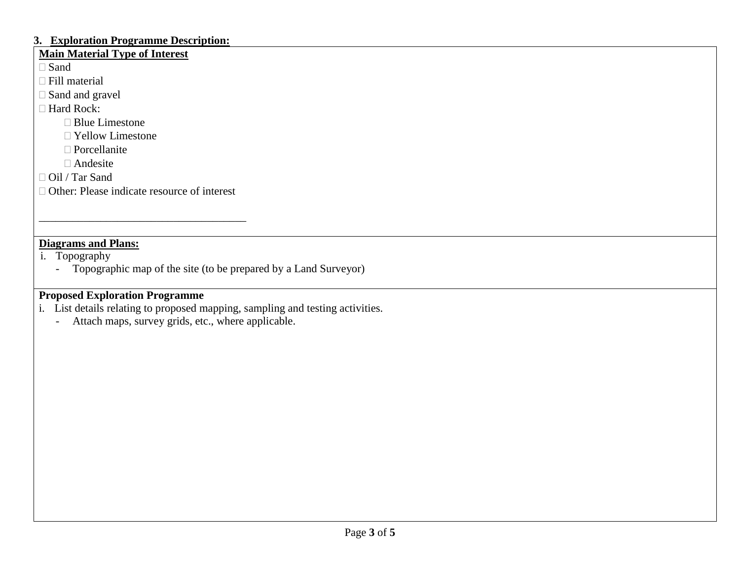#### **3. Exploration Programme Description:**

## **Main Material Type of Interest**

□ Sand

□ Fill material

□ Sand and gravel

□ Hard Rock:

□ Blue Limestone

Yellow Limestone

 $\Box$  Porcellanite

Andesite

Oil / Tar Sand

□ Other: Please indicate resource of interest

\_\_\_\_\_\_\_\_\_\_\_\_\_\_\_\_\_\_\_\_\_\_\_\_\_\_\_\_\_\_\_\_\_\_\_\_\_

## **Diagrams and Plans:**

i. Topography

- Topographic map of the site (to be prepared by a Land Surveyor)

## **Proposed Exploration Programme**

i. List details relating to proposed mapping, sampling and testing activities.

- Attach maps, survey grids, etc., where applicable.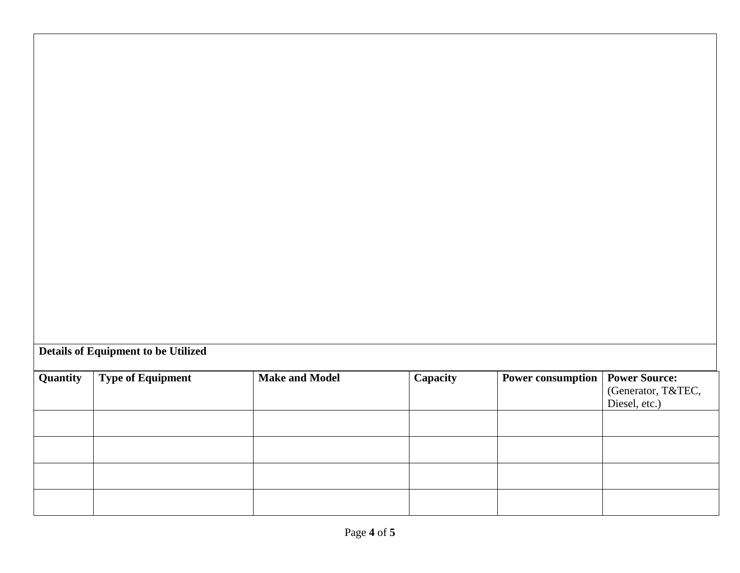# **Details of Equipment to be Utilized**

| Quantity | <b>Type of Equipment</b> | <b>Make and Model</b> | Capacity | <b>Power consumption</b> | <b>Power Source:</b><br>(Generator, T&TEC,<br>Diesel, etc.) |
|----------|--------------------------|-----------------------|----------|--------------------------|-------------------------------------------------------------|
|          |                          |                       |          |                          |                                                             |
|          |                          |                       |          |                          |                                                             |
|          |                          |                       |          |                          |                                                             |
|          |                          |                       |          |                          |                                                             |